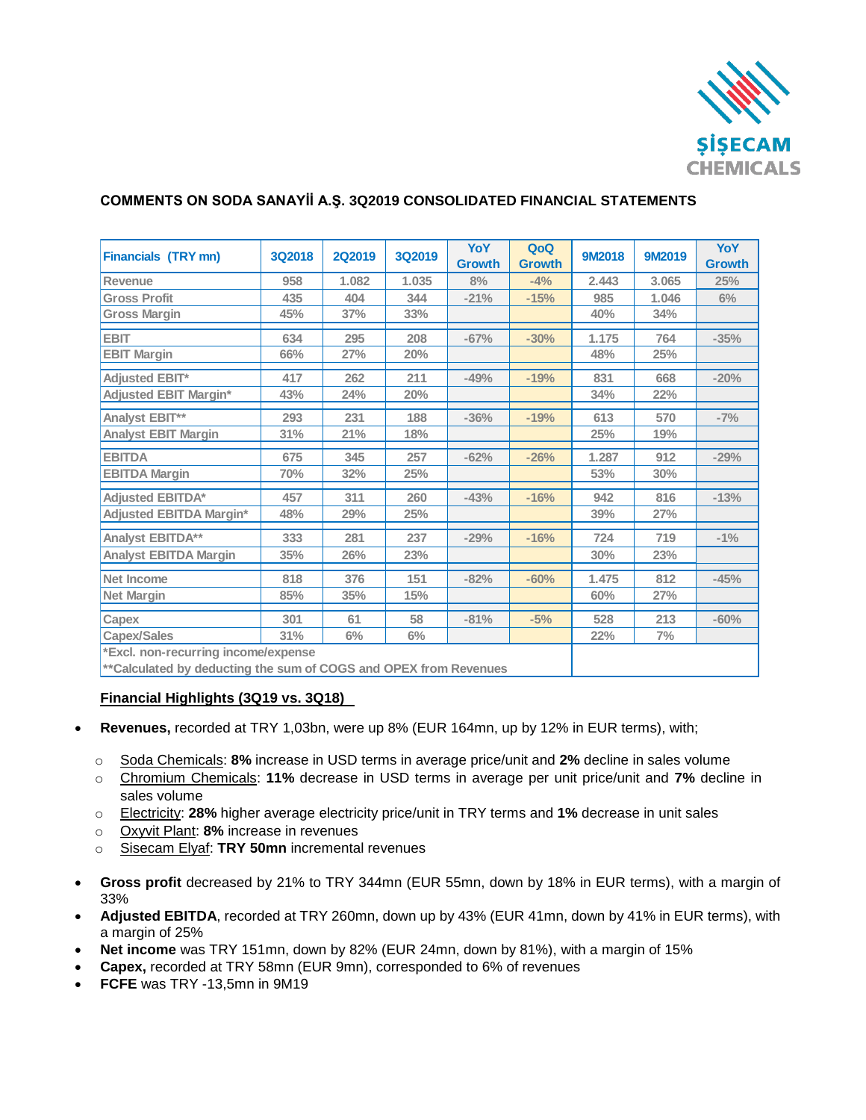

# **COMMENTS ON SODA SANAYİİ A.Ş. 3Q2019 CONSOLIDATED FINANCIAL STATEMENTS**

| Financials (TRY mn)                                               | <b>3Q2018</b> | <b>2Q2019</b> | 3Q2019 | YoY           | QoQ           | 9M2018 | 9M2019 | YoY           |
|-------------------------------------------------------------------|---------------|---------------|--------|---------------|---------------|--------|--------|---------------|
|                                                                   |               |               |        | <b>Growth</b> | <b>Growth</b> |        |        | <b>Growth</b> |
| Revenue                                                           | 958           | 1.082         | 1.035  | 8%            | $-4%$         | 2.443  | 3.065  | 25%           |
| <b>Gross Profit</b>                                               | 435           | 404           | 344    | $-21%$        | $-15%$        | 985    | 1.046  | 6%            |
| <b>Gross Margin</b>                                               | 45%           | 37%           | 33%    |               |               | 40%    | 34%    |               |
| <b>EBIT</b>                                                       | 634           | 295           | 208    | $-67%$        | $-30%$        | 1.175  | 764    | $-35%$        |
| <b>EBIT Margin</b>                                                | 66%           | 27%           | 20%    |               |               | 48%    | 25%    |               |
| <b>Adjusted EBIT*</b>                                             | 417           | 262           | 211    | $-49%$        | $-19%$        | 831    | 668    | $-20%$        |
| <b>Adjusted EBIT Margin*</b>                                      | 43%           | 24%           | 20%    |               |               | 34%    | 22%    |               |
| Analyst EBIT**                                                    | 293           | 231           | 188    | $-36%$        | $-19%$        | 613    | 570    | $-7%$         |
| <b>Analyst EBIT Margin</b>                                        | 31%           | 21%           | 18%    |               |               | 25%    | 19%    |               |
| <b>EBITDA</b>                                                     | 675           | 345           | 257    | $-62%$        | $-26%$        | 1.287  | 912    | $-29%$        |
| <b>EBITDA Margin</b>                                              | 70%           | 32%           | 25%    |               |               | 53%    | 30%    |               |
| <b>Adjusted EBITDA*</b>                                           | 457           | 311           | 260    | $-43%$        | $-16%$        | 942    | 816    | $-13%$        |
| <b>Adjusted EBITDA Margin*</b>                                    | 48%           | 29%           | 25%    |               |               | 39%    | 27%    |               |
| Analyst EBITDA**                                                  | 333           | 281           | 237    | $-29%$        | $-16%$        | 724    | 719    | $-1\%$        |
| <b>Analyst EBITDA Margin</b>                                      | 35%           | 26%           | 23%    |               |               | 30%    | 23%    |               |
| Net Income                                                        | 818           | 376           | 151    | $-82%$        | $-60%$        | 1.475  | 812    | $-45%$        |
| <b>Net Margin</b>                                                 | 85%           | 35%           | 15%    |               |               | 60%    | 27%    |               |
| Capex                                                             | 301           | 61            | 58     | $-81%$        | $-5%$         | 528    | 213    | $-60%$        |
| <b>Capex/Sales</b>                                                | 31%           | $6\%$         | $6\%$  |               |               | 22%    | 7%     |               |
| *Excl. non-recurring income/expense                               |               |               |        |               |               |        |        |               |
| ** Calculated by deducting the sum of COGS and OPEX from Revenues |               |               |        |               |               |        |        |               |

## **Financial Highlights (3Q19 vs. 3Q18)**

- **Revenues,** recorded at TRY 1,03bn, were up 8% (EUR 164mn, up by 12% in EUR terms), with;
	- o Soda Chemicals: **8%** increase in USD terms in average price/unit and **2%** decline in sales volume
	- o Chromium Chemicals: **11%** decrease in USD terms in average per unit price/unit and **7%** decline in sales volume
	- o Electricity: **28%** higher average electricity price/unit in TRY terms and **1%** decrease in unit sales
	- o Oxyvit Plant: **8%** increase in revenues
	- o Sisecam Elyaf: **TRY 50mn** incremental revenues
- **Gross profit** decreased by 21% to TRY 344mn (EUR 55mn, down by 18% in EUR terms), with a margin of 33%
- **Adjusted EBITDA**, recorded at TRY 260mn, down up by 43% (EUR 41mn, down by 41% in EUR terms), with a margin of 25%
- **Net income** was TRY 151mn, down by 82% (EUR 24mn, down by 81%), with a margin of 15%
- **Capex,** recorded at TRY 58mn (EUR 9mn), corresponded to 6% of revenues
- **FCFE** was TRY -13,5mn in 9M19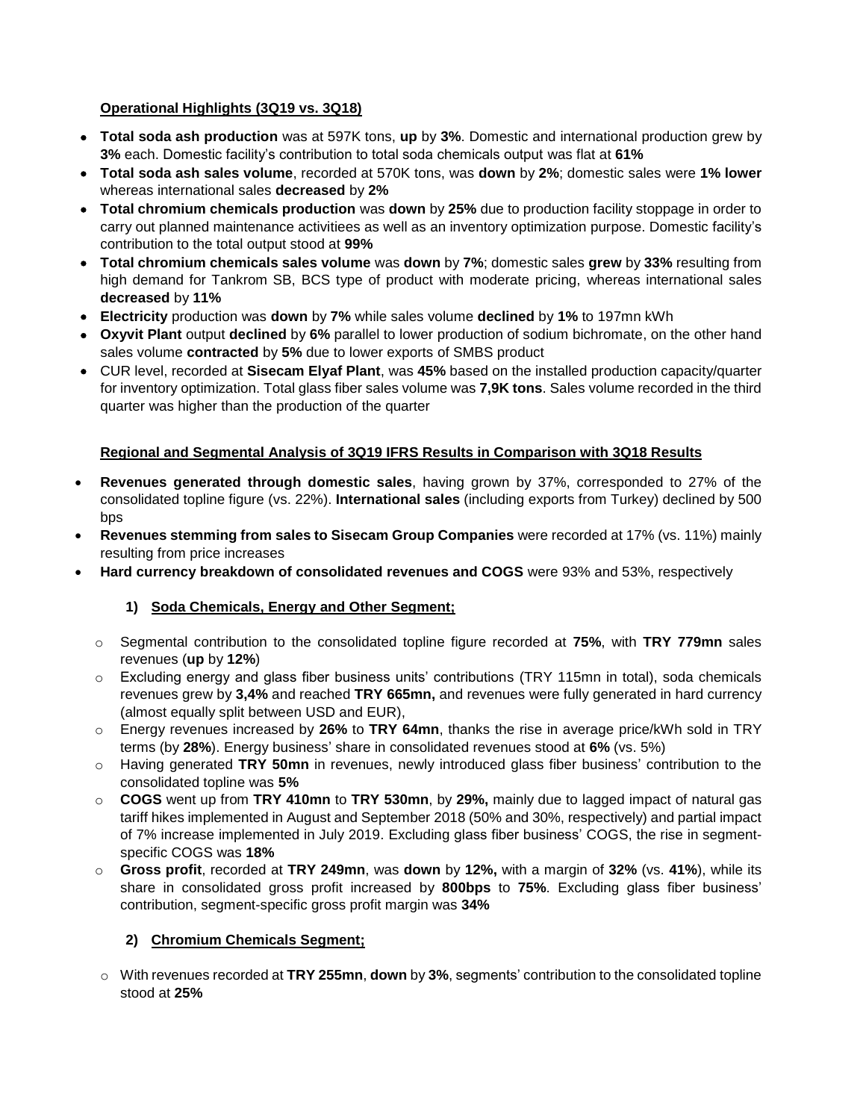## **Operational Highlights (3Q19 vs. 3Q18)**

- **Total soda ash production** was at 597K tons, **up** by **3%**. Domestic and international production grew by **3%** each. Domestic facility's contribution to total soda chemicals output was flat at **61%**
- **Total soda ash sales volume**, recorded at 570K tons, was **down** by **2%**; domestic sales were **1% lower** whereas international sales **decreased** by **2%**
- **Total chromium chemicals production** was **down** by **25%** due to production facility stoppage in order to carry out planned maintenance activitiees as well as an inventory optimization purpose. Domestic facility's contribution to the total output stood at **99%**
- **Total chromium chemicals sales volume** was **down** by **7%**; domestic sales **grew** by **33%** resulting from high demand for Tankrom SB, BCS type of product with moderate pricing, whereas international sales **decreased** by **11%**
- **Electricity** production was **down** by **7%** while sales volume **declined** by **1%** to 197mn kWh
- **Oxyvit Plant** output **declined** by **6%** parallel to lower production of sodium bichromate, on the other hand sales volume **contracted** by **5%** due to lower exports of SMBS product
- CUR level, recorded at **Sisecam Elyaf Plant**, was **45%** based on the installed production capacity/quarter for inventory optimization. Total glass fiber sales volume was **7,9K tons**. Sales volume recorded in the third quarter was higher than the production of the quarter

## **Regional and Segmental Analysis of 3Q19 IFRS Results in Comparison with 3Q18 Results**

- **Revenues generated through domestic sales**, having grown by 37%, corresponded to 27% of the consolidated topline figure (vs. 22%). **International sales** (including exports from Turkey) declined by 500 bps
- **Revenues stemming from sales to Sisecam Group Companies** were recorded at 17% (vs. 11%) mainly resulting from price increases
- **Hard currency breakdown of consolidated revenues and COGS** were 93% and 53%, respectively

## **1) Soda Chemicals, Energy and Other Segment;**

- o Segmental contribution to the consolidated topline figure recorded at **75%**, with **TRY 779mn** sales revenues (**up** by **12%**)
- o Excluding energy and glass fiber business units' contributions (TRY 115mn in total), soda chemicals revenues grew by **3,4%** and reached **TRY 665mn,** and revenues were fully generated in hard currency (almost equally split between USD and EUR),
- o Energy revenues increased by **26%** to **TRY 64mn**, thanks the rise in average price/kWh sold in TRY terms (by **28%**). Energy business' share in consolidated revenues stood at **6%** (vs. 5%)
- o Having generated **TRY 50mn** in revenues, newly introduced glass fiber business' contribution to the consolidated topline was **5%**
- o **COGS** went up from **TRY 410mn** to **TRY 530mn**, by **29%,** mainly due to lagged impact of natural gas tariff hikes implemented in August and September 2018 (50% and 30%, respectively) and partial impact of 7% increase implemented in July 2019. Excluding glass fiber business' COGS, the rise in segmentspecific COGS was **18%**
- o **Gross profit**, recorded at **TRY 249mn**, was **down** by **12%,** with a margin of **32%** (vs. **41%**), while its share in consolidated gross profit increased by **800bps** to **75%**. Excluding glass fiber business' contribution, segment-specific gross profit margin was **34%**

## **2) Chromium Chemicals Segment;**

o With revenues recorded at **TRY 255mn**, **down** by **3%**, segments' contribution to the consolidated topline stood at **25%**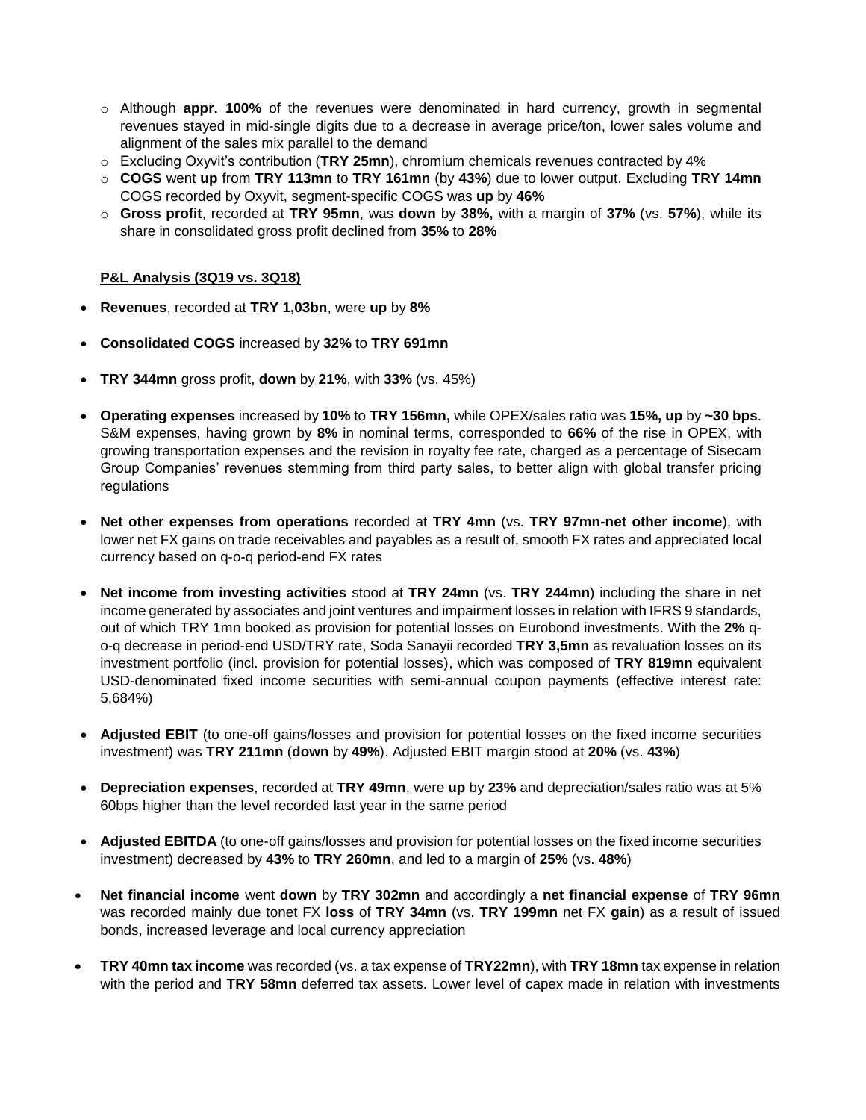- o Although **appr. 100%** of the revenues were denominated in hard currency, growth in segmental revenues stayed in mid-single digits due to a decrease in average price/ton, lower sales volume and alignment of the sales mix parallel to the demand
- o Excluding Oxyvit's contribution (**TRY 25mn**), chromium chemicals revenues contracted by 4%
- o **COGS** went **up** from **TRY 113mn** to **TRY 161mn** (by **43%**) due to lower output. Excluding **TRY 14mn** COGS recorded by Oxyvit, segment-specific COGS was **up** by **46%**
- o **Gross profit**, recorded at **TRY 95mn**, was **down** by **38%,** with a margin of **37%** (vs. **57%**), while its share in consolidated gross profit declined from **35%** to **28%**

#### **P&L Analysis (3Q19 vs. 3Q18)**

- **Revenues**, recorded at **TRY 1,03bn**, were **up** by **8%**
- **Consolidated COGS** increased by **32%** to **TRY 691mn**
- **TRY 344mn** gross profit, **down** by **21%**, with **33%** (vs. 45%)
- **Operating expenses** increased by **10%** to **TRY 156mn,** while OPEX/sales ratio was **15%, up** by **~30 bps**. S&M expenses, having grown by **8%** in nominal terms, corresponded to **66%** of the rise in OPEX, with growing transportation expenses and the revision in royalty fee rate, charged as a percentage of Sisecam Group Companies' revenues stemming from third party sales, to better align with global transfer pricing regulations
- **Net other expenses from operations** recorded at **TRY 4mn** (vs. **TRY 97mn-net other income**), with lower net FX gains on trade receivables and payables as a result of, smooth FX rates and appreciated local currency based on q-o-q period-end FX rates
- **Net income from investing activities** stood at **TRY 24mn** (vs. **TRY 244mn**) including the share in net income generated by associates and joint ventures and impairment losses in relation with IFRS 9 standards, out of which TRY 1mn booked as provision for potential losses on Eurobond investments. With the **2%** qo-q decrease in period-end USD/TRY rate, Soda Sanayii recorded **TRY 3,5mn** as revaluation losses on its investment portfolio (incl. provision for potential losses), which was composed of **TRY 819mn** equivalent USD-denominated fixed income securities with semi-annual coupon payments (effective interest rate: 5,684%)
- **Adjusted EBIT** (to one-off gains/losses and provision for potential losses on the fixed income securities investment) was **TRY 211mn** (**down** by **49%**). Adjusted EBIT margin stood at **20%** (vs. **43%**)
- **Depreciation expenses**, recorded at **TRY 49mn**, were **up** by **23%** and depreciation/sales ratio was at 5% 60bps higher than the level recorded last year in the same period
- **Adjusted EBITDA** (to one-off gains/losses and provision for potential losses on the fixed income securities investment) decreased by **43%** to **TRY 260mn**, and led to a margin of **25%** (vs. **48%**)
- **Net financial income** went **down** by **TRY 302mn** and accordingly a **net financial expense** of **TRY 96mn** was recorded mainly due tonet FX **loss** of **TRY 34mn** (vs. **TRY 199mn** net FX **gain**) as a result of issued bonds, increased leverage and local currency appreciation
- **TRY 40mn tax income** was recorded (vs. a tax expense of **TRY22mn**), with **TRY 18mn** tax expense in relation with the period and **TRY 58mn** deferred tax assets. Lower level of capex made in relation with investments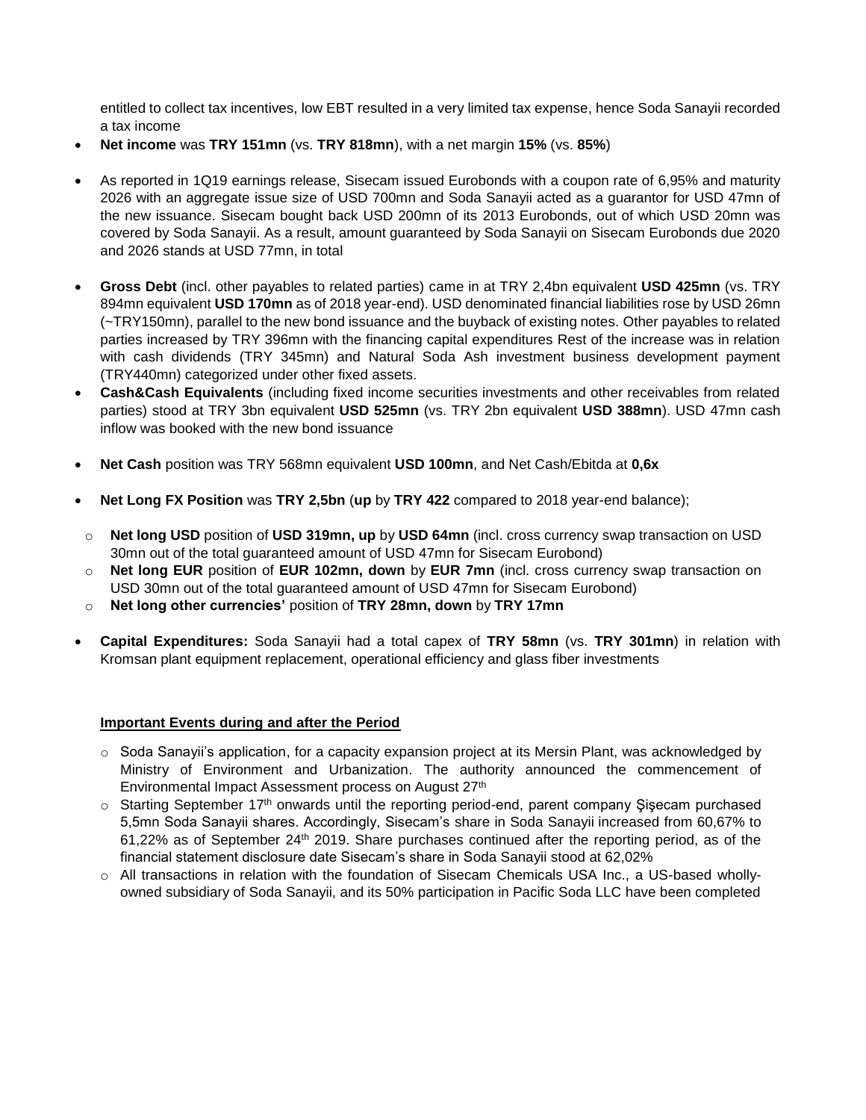entitled to collect tax incentives, low EBT resulted in a very limited tax expense, hence Soda Sanayii recorded a tax income

- **Net income** was **TRY 151mn** (vs. **TRY 818mn**), with a net margin **15%** (vs. **85%**)
- As reported in 1Q19 earnings release, Sisecam issued Eurobonds with a coupon rate of 6,95% and maturity 2026 with an aggregate issue size of USD 700mn and Soda Sanayii acted as a guarantor for USD 47mn of the new issuance. Sisecam bought back USD 200mn of its 2013 Eurobonds, out of which USD 20mn was covered by Soda Sanayii. As a result, amount guaranteed by Soda Sanayii on Sisecam Eurobonds due 2020 and 2026 stands at USD 77mn, in total
- **Gross Debt** (incl. other payables to related parties) came in at TRY 2,4bn equivalent **USD 425mn** (vs. TRY 894mn equivalent **USD 170mn** as of 2018 year-end). USD denominated financial liabilities rose by USD 26mn (~TRY150mn), parallel to the new bond issuance and the buyback of existing notes. Other payables to related parties increased by TRY 396mn with the financing capital expenditures Rest of the increase was in relation with cash dividends (TRY 345mn) and Natural Soda Ash investment business development payment (TRY440mn) categorized under other fixed assets.
- **Cash&Cash Equivalents** (including fixed income securities investments and other receivables from related parties) stood at TRY 3bn equivalent **USD 525mn** (vs. TRY 2bn equivalent **USD 388mn**). USD 47mn cash inflow was booked with the new bond issuance
- **Net Cash** position was TRY 568mn equivalent **USD 100mn**, and Net Cash/Ebitda at **0,6x**
- **Net Long FX Position** was **TRY 2,5bn** (**up** by **TRY 422** compared to 2018 year-end balance);
- o **Net long USD** position of **USD 319mn, up** by **USD 64mn** (incl. cross currency swap transaction on USD 30mn out of the total guaranteed amount of USD 47mn for Sisecam Eurobond)
- o **Net long EUR** position of **EUR 102mn, down** by **EUR 7mn** (incl. cross currency swap transaction on USD 30mn out of the total guaranteed amount of USD 47mn for Sisecam Eurobond)
- o **Net long other currencies'** position of **TRY 28mn, down** by **TRY 17mn**
- **Capital Expenditures:** Soda Sanayii had a total capex of **TRY 58mn** (vs. **TRY 301mn**) in relation with Kromsan plant equipment replacement, operational efficiency and glass fiber investments

## **Important Events during and after the Period**

- $\circ$  Soda Sanayii's application, for a capacity expansion project at its Mersin Plant, was acknowledged by Ministry of Environment and Urbanization. The authority announced the commencement of Environmental Impact Assessment process on August 27th
- $\circ$  Starting September 17<sup>th</sup> onwards until the reporting period-end, parent company Sisecam purchased 5,5mn Soda Sanayii shares. Accordingly, Sisecam's share in Soda Sanayii increased from 60,67% to 61,22% as of September 24th 2019. Share purchases continued after the reporting period, as of the financial statement disclosure date Sisecam's share in Soda Sanayii stood at 62,02%
- o All transactions in relation with the foundation of Sisecam Chemicals USA Inc., a US-based whollyowned subsidiary of Soda Sanayii, and its 50% participation in Pacific Soda LLC have been completed